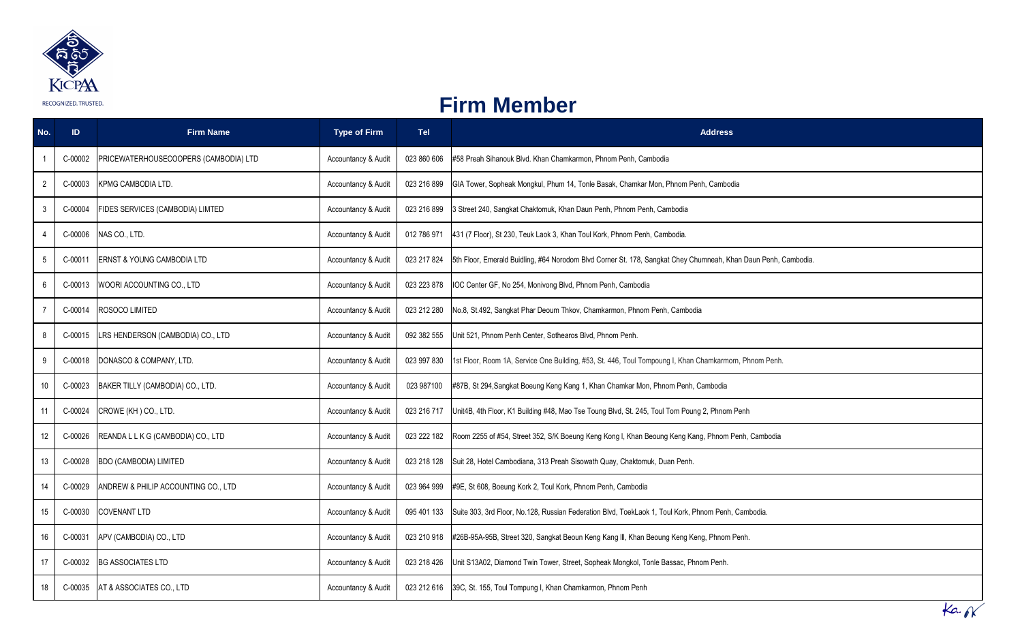

## **Firm Member**

| No.            | <b>ID</b> | <b>Firm Name</b>                      | <b>Type of Firm</b> | <b>Tel</b>  | <b>Address</b>                                                                                                 |
|----------------|-----------|---------------------------------------|---------------------|-------------|----------------------------------------------------------------------------------------------------------------|
|                | C-00002   | PRICEWATERHOUSECOOPERS (CAMBODIA) LTD | Accountancy & Audit | 023 860 606 | #58 Preah Sihanouk Blvd. Khan Chamkarmon, Phnom Penh, Cambodia                                                 |
| $\overline{2}$ | C-00003   | <b>KPMG CAMBODIA LTD.</b>             | Accountancy & Audit | 023 216 899 | GIA Tower, Sopheak Mongkul, Phum 14, Tonle Basak, Chamkar Mon, Phnom Penh, Cambodia                            |
| 3              | C-00004   | FIDES SERVICES (CAMBODIA) LIMTED      | Accountancy & Audit | 023 216 899 | 3 Street 240, Sangkat Chaktomuk, Khan Daun Penh, Phnom Penh, Cambodia                                          |
| 4              | C-00006   | NAS CO., LTD.                         | Accountancy & Audit | 012 786 971 | 431 (7 Floor), St 230, Teuk Laok 3, Khan Toul Kork, Phnom Penh, Cambodia.                                      |
| 5              | C-00011   | <b>ERNST &amp; YOUNG CAMBODIA LTD</b> | Accountancy & Audit | 023 217 824 | 5th Floor, Emerald Buidling, #64 Norodom Blvd Corner St. 178, Sangkat Chey Chumneah, Khan Daun Penh, Cambodia. |
| 6              | C-00013   | WOORI ACCOUNTING CO., LTD             | Accountancy & Audit | 023 223 878 | IOC Center GF, No 254, Monivong Blvd, Phnom Penh, Cambodia                                                     |
|                | C-00014   | ROSOCO LIMITED                        | Accountancy & Audit | 023 212 280 | No.8, St.492, Sangkat Phar Deoum Thkov, Chamkarmon, Phnom Penh, Cambodia                                       |
| 8              | C-00015   | LRS HENDERSON (CAMBODIA) CO., LTD     | Accountancy & Audit | 092 382 555 | Unit 521, Phnom Penh Center, Sothearos Blvd, Phnom Penh.                                                       |
| 9              | C-00018   | DONASCO & COMPANY, LTD.               | Accountancy & Audit | 023 997 830 | 1st Floor, Room 1A, Service One Building, #53, St. 446, Toul Tompoung I, Khan Chamkarmorn, Phnom Penh.         |
| 10             | C-00023   | BAKER TILLY (CAMBODIA) CO., LTD.      | Accountancy & Audit | 023 987100  | #87B, St 294, Sangkat Boeung Keng Kang 1, Khan Chamkar Mon, Phnom Penh, Cambodia                               |
| 11             | C-00024   | CROWE (KH) CO., LTD.                  | Accountancy & Audit | 023 216 717 | Unit4B, 4th Floor, K1 Building #48, Mao Tse Toung Blvd, St. 245, Toul Tom Poung 2, Phnom Penh                  |
| 12             | C-00026   | REANDA L L K G (CAMBODIA) CO., LTD    | Accountancy & Audit | 023 222 182 | Room 2255 of #54, Street 352, S/K Boeung Keng Kong I, Khan Beoung Keng Kang, Phnom Penh, Cambodia              |
| 13             | C-00028   | <b>BDO (CAMBODIA) LIMITED</b>         | Accountancy & Audit | 023 218 128 | Suit 28, Hotel Cambodiana, 313 Preah Sisowath Quay, Chaktomuk, Duan Penh.                                      |
| 14             | C-00029   | ANDREW & PHILIP ACCOUNTING CO., LTD   | Accountancy & Audit | 023 964 999 | #9E, St 608, Boeung Kork 2, Toul Kork, Phnom Penh, Cambodia                                                    |
| 15             | C-00030   | <b>COVENANT LTD</b>                   | Accountancy & Audit | 095 401 133 | Suite 303, 3rd Floor, No.128, Russian Federation Blvd, ToekLaok 1, Toul Kork, Phnom Penh, Cambodia.            |
| 16             | C-00031   | APV (CAMBODIA) CO., LTD               | Accountancy & Audit | 023 210 918 | #26B-95A-95B, Street 320, Sangkat Beoun Keng Kang III, Khan Beoung Keng Keng, Phnom Penh.                      |
| 17             | C-00032   | <b>BG ASSOCIATES LTD</b>              | Accountancy & Audit | 023 218 426 | Unit S13A02, Diamond Twin Tower, Street, Sopheak Mongkol, Tonle Bassac, Phnom Penh.                            |
| 18             | C-00035   | AT & ASSOCIATES CO., LTD              | Accountancy & Audit |             | 023 212 616 39C, St. 155, Toul Tompung I, Khan Chamkarmon, Phnom Penh                                          |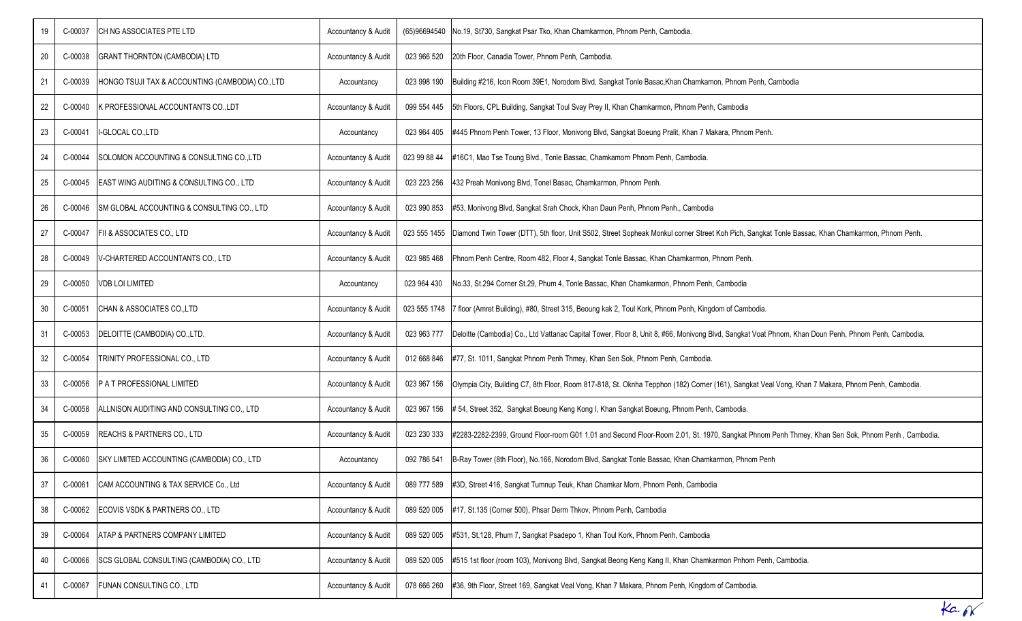| 19 | C-00037 | CH NG ASSOCIATES PTE LTD                        | Accountancy & Audit |              | (65)96694540 No.19, St730, Sangkat Psar Tko, Khan Chamkarmon, Phnom Penh, Cambodia.                                                                           |
|----|---------|-------------------------------------------------|---------------------|--------------|---------------------------------------------------------------------------------------------------------------------------------------------------------------|
| 20 | C-00038 | GRANT THORNTON (CAMBODIA) LTD                   | Accountancy & Audit | 023 966 520  | 20th Floor, Canadia Tower, Phnom Penh, Cambodia.                                                                                                              |
| 21 | C-00039 | HONGO TSUJI TAX & ACCOUNTING (CAMBODIA) CO.,LTD | Accountancy         | 023 998 190  | Building #216, Icon Room 39E1, Norodom Blvd, Sangkat Tonle Basac, Khan Chamkamon, Phnom Penh, Cambodia                                                        |
| 22 | C-00040 | K PROFESSIONAL ACCOUNTANTS CO., LDT             | Accountancy & Audit | 099 554 445  | 5th Floors, CPL Building, Sangkat Toul Svay Prey II, Khan Chamkarmon, Phnom Penh, Cambodia                                                                    |
| 23 | C-00041 | I-GLOCAL CO.,LTD                                | Accountancy         | 023 964 405  | #445 Phnom Penh Tower, 13 Floor, Monivong Blvd, Sangkat Boeung Pralit, Khan 7 Makara, Phnom Penh.                                                             |
| 24 | C-00044 | SOLOMON ACCOUNTING & CONSULTING COLTD           | Accountancy & Audit | 023 99 88 44 | #16C1, Mao Tse Toung Blvd., Tonle Bassac, Chamkamorn Phnom Penh, Cambodia.                                                                                    |
| 25 | C-00045 | EAST WING AUDITING & CONSULTING CO., LTD        | Accountancy & Audit | 023 223 256  | 432 Preah Monivong Blvd, Tonel Basac, Chamkarmon, Phnom Penh.                                                                                                 |
| 26 | C-00046 | SM GLOBAL ACCOUNTING & CONSULTING CO., LTD      | Accountancy & Audit | 023 990 853  | #53, Monivong Blvd, Sangkat Srah Chock, Khan Daun Penh, Phnom Penh., Cambodia                                                                                 |
| 27 | C-00047 | FII & ASSOCIATES CO., LTD                       | Accountancy & Audit |              | 023 555 1455 Diamond Twin Tower (DTT), 5th floor, Unit S502, Street Sopheak Monkul corner Street Koh Pich, Sangkat Tonle Bassac, Khan Chamkarmon, Phnom Penh. |
| 28 | C-00049 | V-CHARTERED ACCOUNTANTS CO., LTD                | Accountancy & Audit | 023 985 468  | Phnom Penh Centre, Room 482, Floor 4, Sangkat Tonle Bassac, Khan Chamkarmon, Phnom Penh.                                                                      |
| 29 | C-00050 | <b>VDB LOI LIMITED</b>                          | Accountancy         | 023 964 430  | No.33, St.294 Corner St.29, Phum 4, Tonle Bassac, Khan Chamkarmon, Phnom Penh, Cambodia                                                                       |
| 30 | C-00051 | CHAN & ASSOCIATES CO., LTD                      | Accountancy & Audit |              | 023 555 1748 7 floor (Amret Building), #80, Street 315, Beoung kak 2, Toul Kork, Phnom Penh, Kingdom of Cambodia.                                             |
| 31 | C-00053 | DELOITTE (CAMBODIA) CO., LTD.                   | Accountancy & Audit | 023 963 777  | Deloitte (Cambodia) Co., Ltd Vattanac Capital Tower, Floor 8, Unit 8, #66, Monivong Blvd, Sangkat Voat Phnom, Khan Doun Penh, Phnom Penh, Cambodia.           |
| 32 | C-00054 | TRINITY PROFESSIONAL CO., LTD                   | Accountancy & Audit | 012 668 846  | #77, St. 1011, Sangkat Phnom Penh Thmey, Khan Sen Sok, Phnom Penh, Cambodia.                                                                                  |
| 33 | C-00056 | P A T PROFESSIONAL LIMITED                      | Accountancy & Audit | 023 967 156  | Olympia City, Building C7, 8th Floor, Room 817-818, St. Oknha Tepphon (182) Corner (161), Sangkat Veal Vong, Khan 7 Makara, Phnom Penh, Cambodia.             |
| 34 | C-00058 | ALLNISON AUDITING AND CONSULTING CO., LTD       | Accountancy & Audit | 023 967 156  | # 54, Street 352, Sangkat Boeung Keng Kong I, Khan Sangkat Boeung, Phnom Penh, Cambodia.                                                                      |
| 35 | C-00059 | REACHS & PARTNERS CO., LTD                      | Accountancy & Audit | 023 230 333  | #2283-2282-2399, Ground Floor-room G01 1.01 and Second Floor-Room 2.01, St. 1970, Sangkat Phnom Penh Thmey, Khan Sen Sok, Phnom Penh, Cambodia.               |
| 36 | C-00060 | SKY LIMITED ACCOUNTING (CAMBODIA) CO., LTD      | Accountancy         | 092 786 541  | B-Ray Tower (8th Floor), No.166, Norodom Blvd, Sangkat Tonle Bassac, Khan Chamkarmon, Phnom Penh                                                              |
| 37 | C-00061 | CAM ACCOUNTING & TAX SERVICE Co., Ltd           | Accountancy & Audit | 089 777 589  | #3D, Street 416, Sangkat Tumnup Teuk, Khan Chamkar Morn, Phnom Penh, Cambodia                                                                                 |
| 38 | C-00062 | ECOVIS VSDK & PARTNERS CO., LTD                 | Accountancy & Audit | 089 520 005  | #17, St.135 (Corner 500), Phsar Derm Thkov, Phnom Penh, Cambodia                                                                                              |
| 39 | C-00064 | ATAP & PARTNERS COMPANY LIMITED                 | Accountancy & Audit | 089 520 005  | #531, St.128, Phum 7, Sangkat Psadepo 1, Khan Toul Kork, Phnom Penh, Cambodia                                                                                 |
| 40 | C-00066 | SCS GLOBAL CONSULTING (CAMBODIA) CO., LTD       | Accountancy & Audit | 089 520 005  | #515 1st floor (room 103), Monivong Blvd, Sangkat Beong Keng Kang II, Khan Chamkarmon Pnhom Penh, Cambodia.                                                   |
| 41 | C-00067 | FUNAN CONSULTING CO., LTD                       | Accountancy & Audit | 078 666 260  | #36, 9th Floor, Street 169, Sangkat Veal Vong, Khan 7 Makara, Phnom Penh, Kingdom of Cambodia.                                                                |